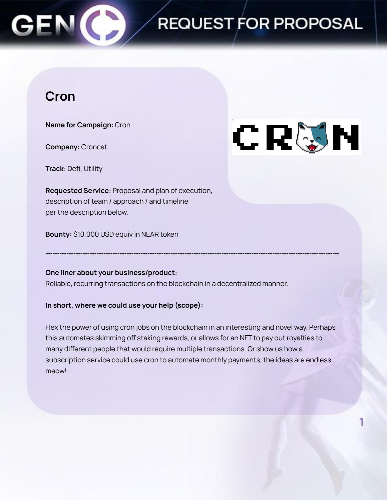### **Cron**

**Name for Campaign**: Cron

**Company:** Croncat

**Track:** Defi, Utility

**Requested Service:** Proposal and plan of execution, description of team / approach / and timeline per the description below.

**Bounty:** \$10,000 USD equiv in NEAR token

### **One liner about your business/product:**

Reliable, recurring transactions on the blockchain in a decentralized manner.

### **In short, where we could use your help (scope):**

Flex the power of using cron jobs on the blockchain in an interesting and novel way. Perhaps this automates skimming off staking rewards, or allows for an NFT to pay out royalties to many different people that would require multiple transactions. Or show us how a subscription service could use cron to automate monthly payments, the ideas are endless, meow!

**-------------------------------------------------------------------------------------------------------------------------------**

# CRUN

REQUEST FOR PROPOSAL